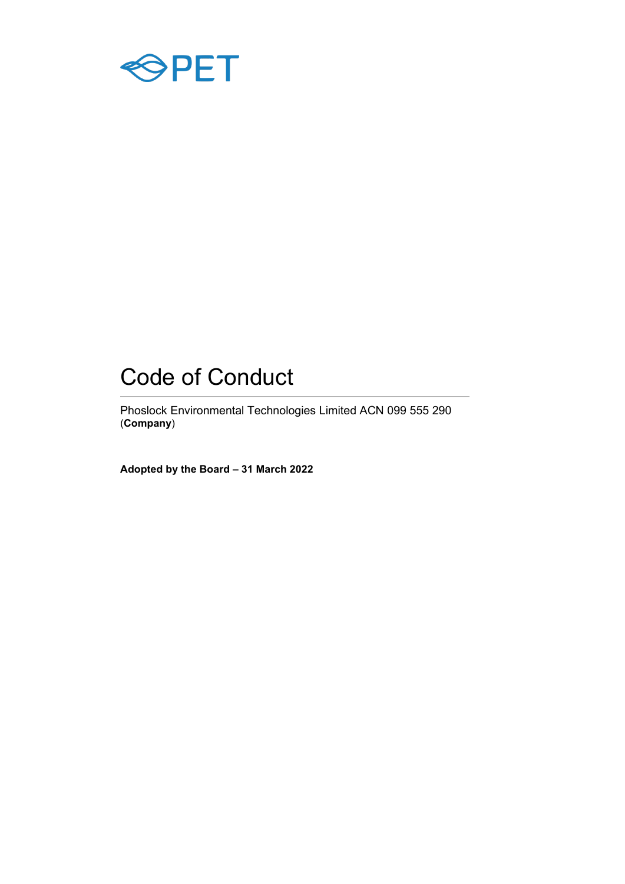

# Code of Conduct

Phoslock Environmental Technologies Limited ACN 099 555 290 (**Company**)

**Adopted by the Board – 31 March 2022**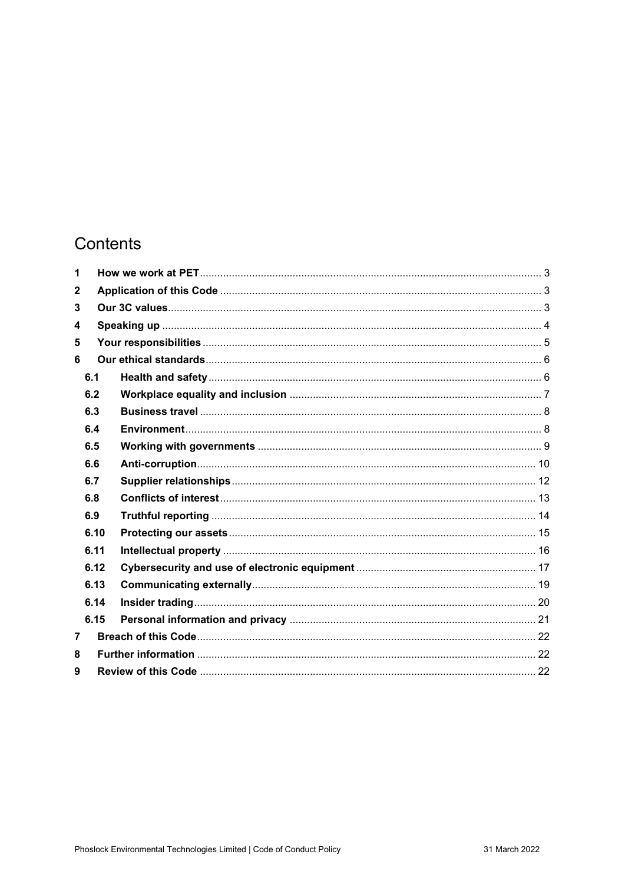## Contents

| 1              |      |  |
|----------------|------|--|
| $\mathbf{2}$   |      |  |
| 3              |      |  |
| 4              |      |  |
| 5              |      |  |
| 6              |      |  |
| 6.1            |      |  |
|                | 6.2  |  |
|                | 6.3  |  |
|                | 6.4  |  |
|                | 6.5  |  |
|                | 6.6  |  |
|                | 6.7  |  |
|                | 6.8  |  |
|                | 6.9  |  |
|                | 6.10 |  |
|                | 6.11 |  |
|                | 6.12 |  |
|                | 6.13 |  |
|                | 6.14 |  |
|                | 6.15 |  |
| $\overline{7}$ |      |  |
| 8              |      |  |
| 9              |      |  |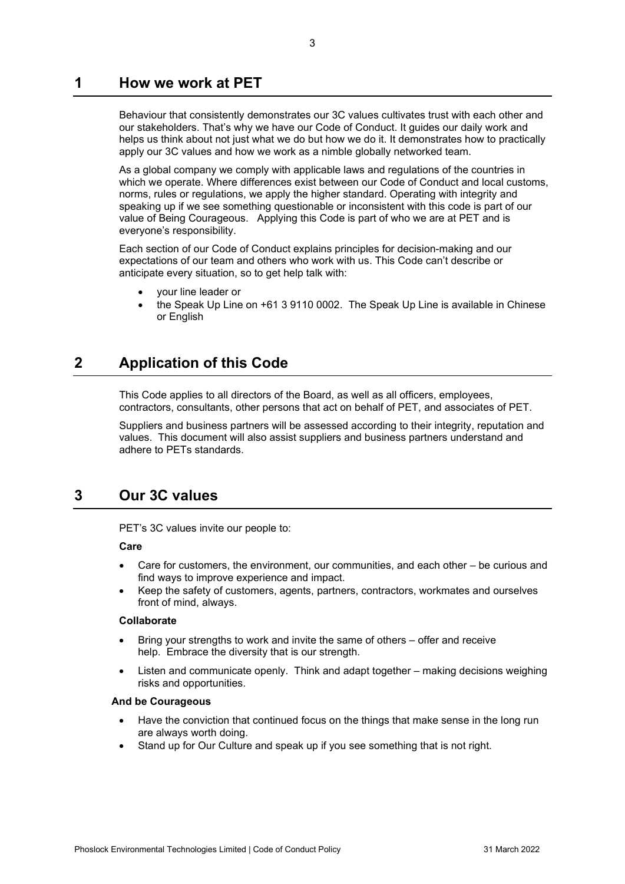### <span id="page-2-0"></span>**1 How we work at PET**

Behaviour that consistently demonstrates our 3C values cultivates trust with each other and our stakeholders. That's why we have our Code of Conduct. It guides our daily work and helps us think about not just what we do but how we do it. It demonstrates how to practically apply our 3C values and how we work as a nimble globally networked team.

As a global company we comply with applicable laws and regulations of the countries in which we operate. Where differences exist between our Code of Conduct and local customs, norms, rules or regulations, we apply the higher standard. Operating with integrity and speaking up if we see something questionable or inconsistent with this code is part of our value of Being Courageous. Applying this Code is part of who we are at PET and is everyone's responsibility.

Each section of our Code of Conduct explains principles for decision-making and our expectations of our team and others who work with us. This Code can't describe or anticipate every situation, so to get help talk with:

- your line leader or
- the Speak Up Line on +61 3 9110 0002. The Speak Up Line is available in Chinese or English

### <span id="page-2-1"></span>**2 Application of this Code**

This Code applies to all directors of the Board, as well as all officers, employees, contractors, consultants, other persons that act on behalf of PET, and associates of PET.

Suppliers and business partners will be assessed according to their integrity, reputation and values. This document will also assist suppliers and business partners understand and adhere to PETs standards.

### <span id="page-2-2"></span>**3 Our 3C values**

PET's 3C values invite our people to:

#### **Care**

- Care for customers, the environment, our communities, and each other be curious and find ways to improve experience and impact.
- Keep the safety of customers, agents, partners, contractors, workmates and ourselves front of mind, always.

#### **Collaborate**

- Bring your strengths to work and invite the same of others offer and receive help. Embrace the diversity that is our strength.
- Listen and communicate openly. Think and adapt together making decisions weighing risks and opportunities.

#### **And be Courageous**

- Have the conviction that continued focus on the things that make sense in the long run are always worth doing.
- Stand up for Our Culture and speak up if you see something that is not right.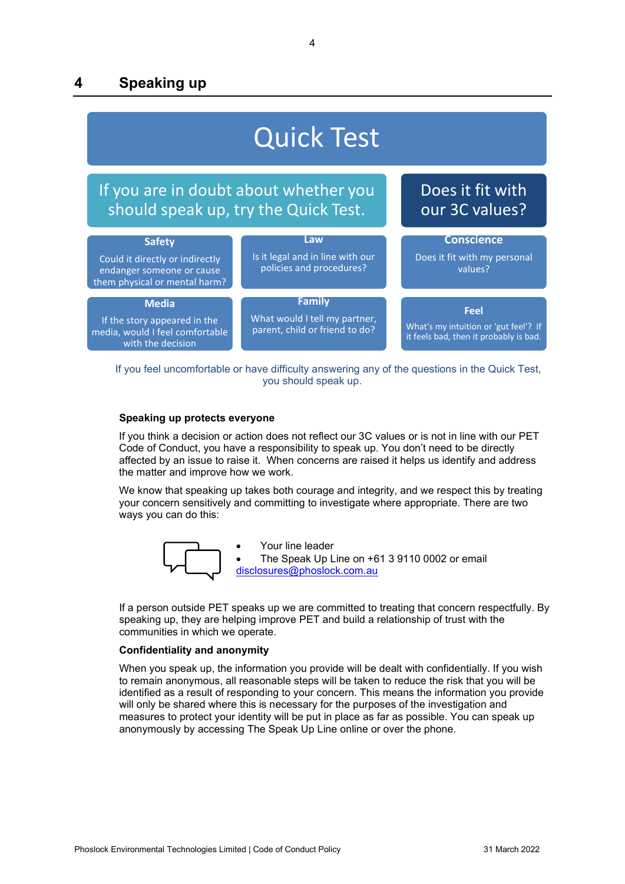### <span id="page-3-0"></span>**4 Speaking up**



 If you feel uncomfortable or have difficulty answering any of the questions in the Quick Test, you should speak up.

#### **Speaking up protects everyone**

If you think a decision or action does not reflect our 3C values or is not in line with our PET Code of Conduct, you have a responsibility to speak up. You don't need to be directly affected by an issue to raise it. When concerns are raised it helps us identify and address the matter and improve how we work.

We know that speaking up takes both courage and integrity, and we respect this by treating your concern sensitively and committing to investigate where appropriate. There are two ways you can do this:



• Your line leader The Speak Up Line on +61 3 9110 0002 or email [disclosures@phoslock.com.au](mailto:disclosures@phoslock.com.au)

If a person outside PET speaks up we are committed to treating that concern respectfully. By speaking up, they are helping improve PET and build a relationship of trust with the communities in which we operate.

#### **Confidentiality and anonymity**

When you speak up, the information you provide will be dealt with confidentially. If you wish to remain anonymous, all reasonable steps will be taken to reduce the risk that you will be identified as a result of responding to your concern. This means the information you provide will only be shared where this is necessary for the purposes of the investigation and measures to protect your identity will be put in place as far as possible. You can speak up anonymously by accessing The Speak Up Line online or over the phone.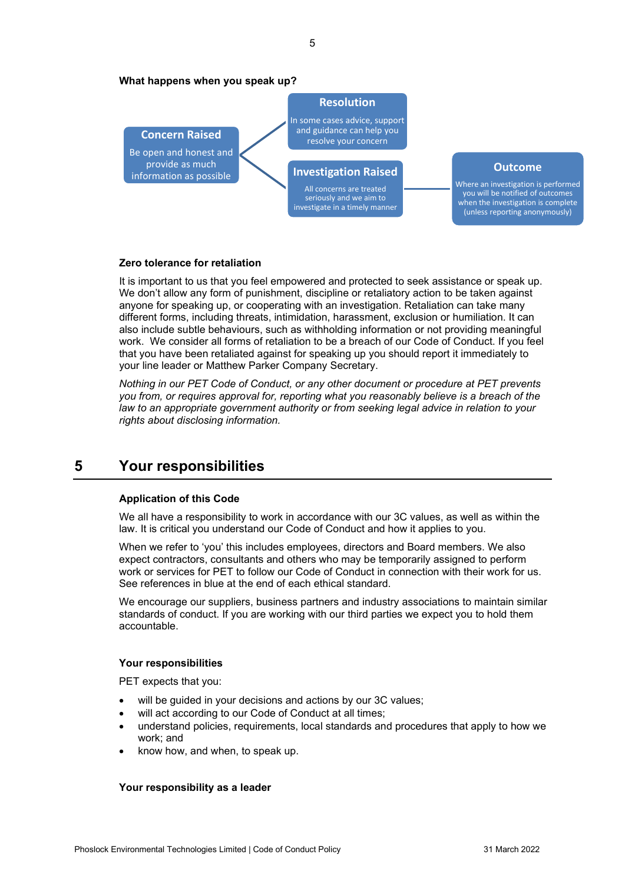#### **What happens when you speak up?**



#### **Outcome**

Where an investigation is performed you will be notified of outcomes when the investigation is complete (unless reporting anonymously)

#### **Zero tolerance for retaliation**

It is important to us that you feel empowered and protected to seek assistance or speak up. We don't allow any form of punishment, discipline or retaliatory action to be taken against anyone for speaking up, or cooperating with an investigation. Retaliation can take many different forms, including threats, intimidation, harassment, exclusion or humiliation. It can also include subtle behaviours, such as withholding information or not providing meaningful work. We consider all forms of retaliation to be a breach of our Code of Conduct. If you feel that you have been retaliated against for speaking up you should report it immediately to your line leader or Matthew Parker Company Secretary.

*Nothing in our PET Code of Conduct, or any other document or procedure at PET prevents you from, or requires approval for, reporting what you reasonably believe is a breach of the law to an appropriate government authority or from seeking legal advice in relation to your rights about disclosing information.*

### <span id="page-4-0"></span>**5 Your responsibilities**

#### **Application of this Code**

We all have a responsibility to work in accordance with our 3C values, as well as within the law. It is critical you understand our Code of Conduct and how it applies to you.

When we refer to 'you' this includes employees, directors and Board members. We also expect contractors, consultants and others who may be temporarily assigned to perform work or services for PET to follow our Code of Conduct in connection with their work for us. See references in blue at the end of each ethical standard.

We encourage our suppliers, business partners and industry associations to maintain similar standards of conduct. If you are working with our third parties we expect you to hold them accountable.

#### **Your responsibilities**

PET expects that you:

- will be quided in your decisions and actions by our 3C values;
- will act according to our Code of Conduct at all times;
- understand policies, requirements, local standards and procedures that apply to how we work; and
- know how, and when, to speak up.

#### **Your responsibility as a leader**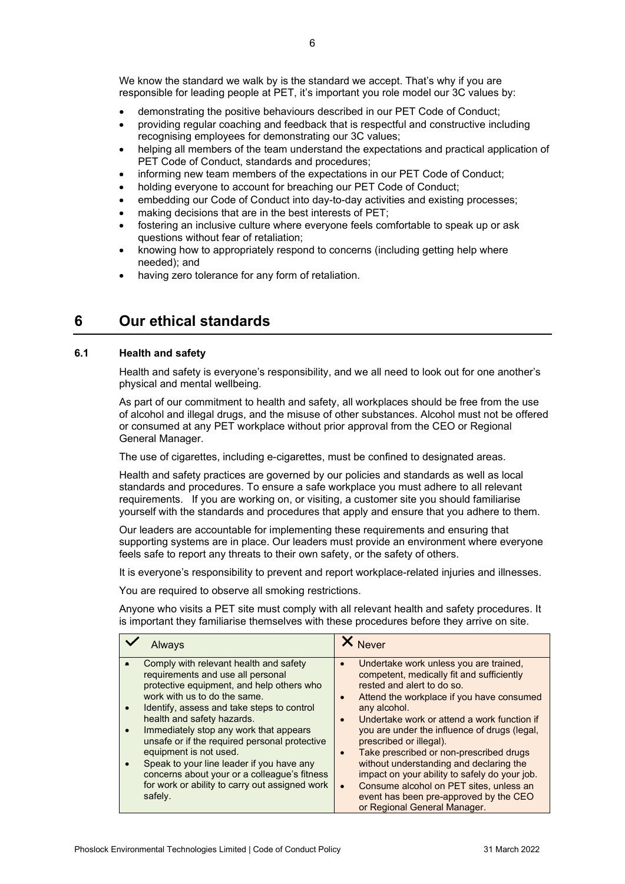We know the standard we walk by is the standard we accept. That's why if you are responsible for leading people at PET, it's important you role model our 3C values by:

- demonstrating the positive behaviours described in our PET Code of Conduct;
- providing regular coaching and feedback that is respectful and constructive including recognising employees for demonstrating our 3C values;
- helping all members of the team understand the expectations and practical application of PET Code of Conduct, standards and procedures;
- informing new team members of the expectations in our PET Code of Conduct;
- holding everyone to account for breaching our PET Code of Conduct;
- embedding our Code of Conduct into day-to-day activities and existing processes;
- making decisions that are in the best interests of PET;
- fostering an inclusive culture where everyone feels comfortable to speak up or ask questions without fear of retaliation;
- knowing how to appropriately respond to concerns (including getting help where needed); and
- having zero tolerance for any form of retaliation.

### <span id="page-5-0"></span>**6 Our ethical standards**

#### <span id="page-5-1"></span>**6.1 Health and safety**

Health and safety is everyone's responsibility, and we all need to look out for one another's physical and mental wellbeing.

As part of our commitment to health and safety, all workplaces should be free from the use of alcohol and illegal drugs, and the misuse of other substances. Alcohol must not be offered or consumed at any PET workplace without prior approval from the CEO or Regional General Manager.

The use of cigarettes, including e-cigarettes, must be confined to designated areas.

Health and safety practices are governed by our policies and standards as well as local standards and procedures. To ensure a safe workplace you must adhere to all relevant requirements. If you are working on, or visiting, a customer site you should familiarise yourself with the standards and procedures that apply and ensure that you adhere to them.

Our leaders are accountable for implementing these requirements and ensuring that supporting systems are in place. Our leaders must provide an environment where everyone feels safe to report any threats to their own safety, or the safety of others.

It is everyone's responsibility to prevent and report workplace-related injuries and illnesses.

You are required to observe all smoking restrictions.

Anyone who visits a PET site must comply with all relevant health and safety procedures. It is important they familiarise themselves with these procedures before they arrive on site.

| <b>Always</b>                                                                                                                                                                                                                                                                                                                                                                                                                                                                                                       | X Never                                                                                                                                                                                                                                                                                                                                                                                                                                                                                                                                                              |
|---------------------------------------------------------------------------------------------------------------------------------------------------------------------------------------------------------------------------------------------------------------------------------------------------------------------------------------------------------------------------------------------------------------------------------------------------------------------------------------------------------------------|----------------------------------------------------------------------------------------------------------------------------------------------------------------------------------------------------------------------------------------------------------------------------------------------------------------------------------------------------------------------------------------------------------------------------------------------------------------------------------------------------------------------------------------------------------------------|
| Comply with relevant health and safety<br>requirements and use all personal<br>protective equipment, and help others who<br>work with us to do the same.<br>Identify, assess and take steps to control<br>health and safety hazards.<br>Immediately stop any work that appears<br>unsafe or if the required personal protective<br>equipment is not used.<br>Speak to your line leader if you have any<br>concerns about your or a colleague's fitness<br>for work or ability to carry out assigned work<br>safely. | Undertake work unless you are trained,<br>competent, medically fit and sufficiently<br>rested and alert to do so.<br>Attend the workplace if you have consumed<br>any alcohol.<br>Undertake work or attend a work function if<br>you are under the influence of drugs (legal,<br>prescribed or illegal).<br>Take prescribed or non-prescribed drugs<br>without understanding and declaring the<br>impact on your ability to safely do your job.<br>Consume alcohol on PET sites, unless an<br>event has been pre-approved by the CEO<br>or Regional General Manager. |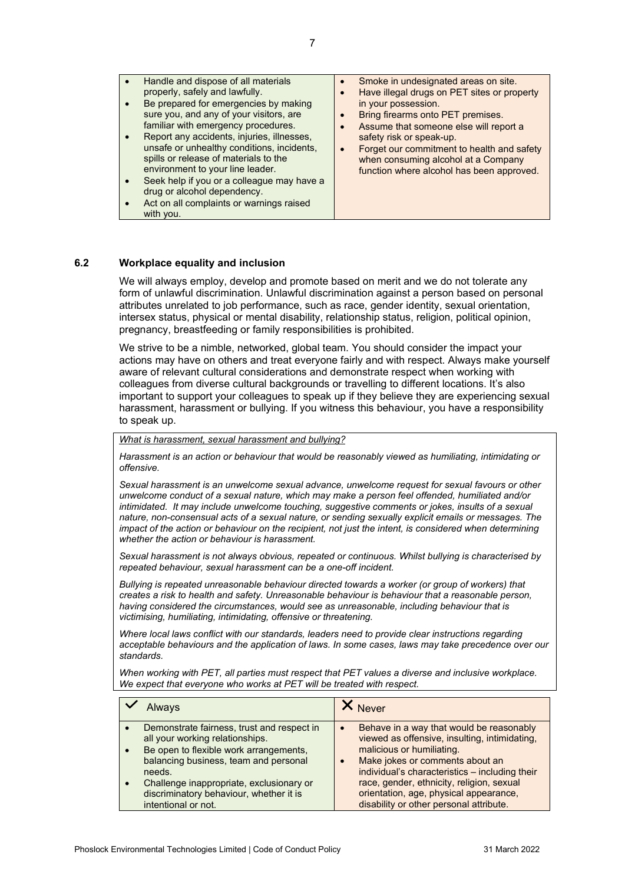• Handle and dispose of all materials properly, safely and lawfully. Be prepared for emergencies by making sure you, and any of your visitors, are familiar with emergency procedures. • Report any accidents, injuries, illnesses, unsafe or unhealthy conditions, incidents, spills or release of materials to the environment to your line leader. Seek help if you or a colleague may have a drug or alcohol dependency. Act on all complaints or warnings raised with you. • Smoke in undesignated areas on site. • Have illegal drugs on PET sites or property in your possession. • Bring firearms onto PET premises. • Assume that someone else will report a safety risk or speak-up. • Forget our commitment to health and safety when consuming alcohol at a Company function where alcohol has been approved.

#### <span id="page-6-0"></span>**6.2 Workplace equality and inclusion**

We will always employ, develop and promote based on merit and we do not tolerate any form of unlawful discrimination. Unlawful discrimination against a person based on personal attributes unrelated to job performance, such as race, gender identity, sexual orientation, intersex status, physical or mental disability, relationship status, religion, political opinion, pregnancy, breastfeeding or family responsibilities is prohibited.

We strive to be a nimble, networked, global team. You should consider the impact your actions may have on others and treat everyone fairly and with respect. Always make yourself aware of relevant cultural considerations and demonstrate respect when working with colleagues from diverse cultural backgrounds or travelling to different locations. It's also important to support your colleagues to speak up if they believe they are experiencing sexual harassment, harassment or bullying. If you witness this behaviour, you have a responsibility to speak up.

#### *What is harassment, sexual harassment and bullying?*

*Harassment is an action or behaviour that would be reasonably viewed as humiliating, intimidating or offensive.*

*Sexual harassment is an unwelcome sexual advance, unwelcome request for sexual favours or other unwelcome conduct of a sexual nature, which may make a person feel offended, humiliated and/or intimidated. It may include unwelcome touching, suggestive comments or jokes, insults of a sexual nature, non-consensual acts of a sexual nature, or sending sexually explicit emails or messages. The impact of the action or behaviour on the recipient, not just the intent, is considered when determining whether the action or behaviour is harassment.*

*Sexual harassment is not always obvious, repeated or continuous. Whilst bullying is characterised by repeated behaviour, sexual harassment can be a one-off incident.*

*Bullying is repeated unreasonable behaviour directed towards a worker (or group of workers) that creates a risk to health and safety. Unreasonable behaviour is behaviour that a reasonable person, having considered the circumstances, would see as unreasonable, including behaviour that is victimising, humiliating, intimidating, offensive or threatening.*

*Where local laws conflict with our standards, leaders need to provide clear instructions regarding acceptable behaviours and the application of laws. In some cases, laws may take precedence over our standards.*

*When working with PET, all parties must respect that PET values a diverse and inclusive workplace. We expect that everyone who works at PET will be treated with respect.*

|                                            | <b>Never</b>                                   |
|--------------------------------------------|------------------------------------------------|
| Demonstrate fairness, trust and respect in | Behave in a way that would be reasonably       |
| all your working relationships.            | viewed as offensive, insulting, intimidating,  |
| Be open to flexible work arrangements,     | malicious or humiliating.                      |
| balancing business, team and personal      | Make jokes or comments about an                |
| needs.                                     | individual's characteristics - including their |
| Challenge inappropriate, exclusionary or   | race, gender, ethnicity, religion, sexual      |
| discriminatory behaviour, whether it is    | orientation, age, physical appearance,         |
| intentional or not.                        | disability or other personal attribute.        |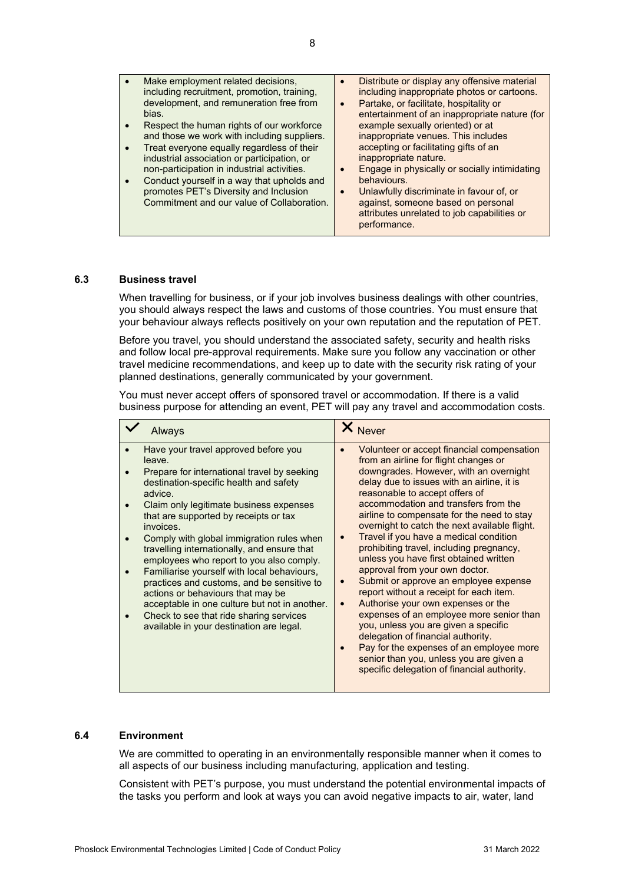| Make employment related decisions,<br>including recruitment, promotion, training,<br>development, and remuneration free from<br>bias.<br>Respect the human rights of our workforce<br>and those we work with including suppliers.<br>Treat everyone equally regardless of their<br>industrial association or participation, or<br>non-participation in industrial activities.<br>Conduct yourself in a way that upholds and<br>promotes PET's Diversity and Inclusion<br>Commitment and our value of Collaboration. | Distribute or display any offensive material<br>including inappropriate photos or cartoons.<br>Partake, or facilitate, hospitality or<br>$\bullet$<br>entertainment of an inappropriate nature (for<br>example sexually oriented) or at<br>inappropriate venues. This includes<br>accepting or facilitating gifts of an<br>inappropriate nature.<br>Engage in physically or socially intimidating<br>behaviours.<br>Unlawfully discriminate in favour of, or<br>against, someone based on personal<br>attributes unrelated to job capabilities or<br>performance. |
|---------------------------------------------------------------------------------------------------------------------------------------------------------------------------------------------------------------------------------------------------------------------------------------------------------------------------------------------------------------------------------------------------------------------------------------------------------------------------------------------------------------------|-------------------------------------------------------------------------------------------------------------------------------------------------------------------------------------------------------------------------------------------------------------------------------------------------------------------------------------------------------------------------------------------------------------------------------------------------------------------------------------------------------------------------------------------------------------------|
|                                                                                                                                                                                                                                                                                                                                                                                                                                                                                                                     |                                                                                                                                                                                                                                                                                                                                                                                                                                                                                                                                                                   |

#### <span id="page-7-0"></span>**6.3 Business travel**

When travelling for business, or if your job involves business dealings with other countries, you should always respect the laws and customs of those countries. You must ensure that your behaviour always reflects positively on your own reputation and the reputation of PET.

Before you travel, you should understand the associated safety, security and health risks and follow local pre-approval requirements. Make sure you follow any vaccination or other travel medicine recommendations, and keep up to date with the security risk rating of your planned destinations, generally communicated by your government.

You must never accept offers of sponsored travel or accommodation. If there is a valid business purpose for attending an event, PET will pay any travel and accommodation costs.

| <b>Always</b>                                                                                                                                                                                                                                                                                                                                                                                                                                                                                                                                                                                                                                                         | <b>Never</b>                                                                                                                                                                                                                                                                                                                                                                                                                                                                                                                                                                                                                                                                                                                                                                                                                                                                                                                  |
|-----------------------------------------------------------------------------------------------------------------------------------------------------------------------------------------------------------------------------------------------------------------------------------------------------------------------------------------------------------------------------------------------------------------------------------------------------------------------------------------------------------------------------------------------------------------------------------------------------------------------------------------------------------------------|-------------------------------------------------------------------------------------------------------------------------------------------------------------------------------------------------------------------------------------------------------------------------------------------------------------------------------------------------------------------------------------------------------------------------------------------------------------------------------------------------------------------------------------------------------------------------------------------------------------------------------------------------------------------------------------------------------------------------------------------------------------------------------------------------------------------------------------------------------------------------------------------------------------------------------|
| Have your travel approved before you<br>leave.<br>Prepare for international travel by seeking<br>destination-specific health and safety<br>advice.<br>Claim only legitimate business expenses<br>that are supported by receipts or tax<br>invoices.<br>Comply with global immigration rules when<br>travelling internationally, and ensure that<br>employees who report to you also comply.<br>Familiarise yourself with local behaviours,<br>practices and customs, and be sensitive to<br>actions or behaviours that may be<br>acceptable in one culture but not in another.<br>Check to see that ride sharing services<br>available in your destination are legal. | Volunteer or accept financial compensation<br>from an airline for flight changes or<br>downgrades. However, with an overnight<br>delay due to issues with an airline, it is<br>reasonable to accept offers of<br>accommodation and transfers from the<br>airline to compensate for the need to stay<br>overnight to catch the next available flight.<br>Travel if you have a medical condition<br>prohibiting travel, including pregnancy,<br>unless you have first obtained written<br>approval from your own doctor.<br>Submit or approve an employee expense<br>report without a receipt for each item.<br>Authorise your own expenses or the<br>$\bullet$<br>expenses of an employee more senior than<br>you, unless you are given a specific<br>delegation of financial authority.<br>Pay for the expenses of an employee more<br>senior than you, unless you are given a<br>specific delegation of financial authority. |

#### <span id="page-7-1"></span>**6.4 Environment**

We are committed to operating in an environmentally responsible manner when it comes to all aspects of our business including manufacturing, application and testing.

Consistent with PET's purpose, you must understand the potential environmental impacts of the tasks you perform and look at ways you can avoid negative impacts to air, water, land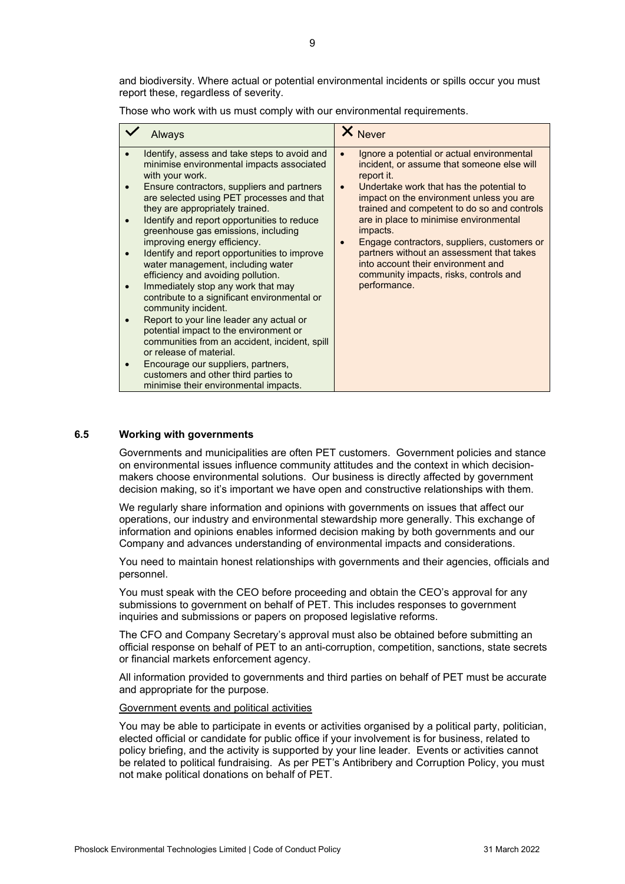and biodiversity. Where actual or potential environmental incidents or spills occur you must report these, regardless of severity.

Those who work with us must comply with our environmental requirements.

| Always                                                                                                                                                                                                                                                                                                                                                                                                                                                                                                                                                                                                                                                                                                                                                                                                                                                                                                         | X Never                                                                                                                                                                                                                                                                                                                                                                                                                                                                                                                                |
|----------------------------------------------------------------------------------------------------------------------------------------------------------------------------------------------------------------------------------------------------------------------------------------------------------------------------------------------------------------------------------------------------------------------------------------------------------------------------------------------------------------------------------------------------------------------------------------------------------------------------------------------------------------------------------------------------------------------------------------------------------------------------------------------------------------------------------------------------------------------------------------------------------------|----------------------------------------------------------------------------------------------------------------------------------------------------------------------------------------------------------------------------------------------------------------------------------------------------------------------------------------------------------------------------------------------------------------------------------------------------------------------------------------------------------------------------------------|
| Identify, assess and take steps to avoid and<br>minimise environmental impacts associated<br>with your work.<br>Ensure contractors, suppliers and partners<br>$\bullet$<br>are selected using PET processes and that<br>they are appropriately trained.<br>Identify and report opportunities to reduce<br>greenhouse gas emissions, including<br>improving energy efficiency.<br>Identify and report opportunities to improve<br>water management, including water<br>efficiency and avoiding pollution.<br>Immediately stop any work that may<br>contribute to a significant environmental or<br>community incident.<br>Report to your line leader any actual or<br>potential impact to the environment or<br>communities from an accident, incident, spill<br>or release of material.<br>Encourage our suppliers, partners,<br>customers and other third parties to<br>minimise their environmental impacts. | Ignore a potential or actual environmental<br>$\bullet$<br>incident, or assume that someone else will<br>report it.<br>Undertake work that has the potential to<br>$\bullet$<br>impact on the environment unless you are<br>trained and competent to do so and controls<br>are in place to minimise environmental<br>impacts.<br>Engage contractors, suppliers, customers or<br>$\bullet$<br>partners without an assessment that takes<br>into account their environment and<br>community impacts, risks, controls and<br>performance. |

#### <span id="page-8-0"></span>**6.5 Working with governments**

Governments and municipalities are often PET customers. Government policies and stance on environmental issues influence community attitudes and the context in which decisionmakers choose environmental solutions. Our business is directly affected by government decision making, so it's important we have open and constructive relationships with them.

We regularly share information and opinions with governments on issues that affect our operations, our industry and environmental stewardship more generally. This exchange of information and opinions enables informed decision making by both governments and our Company and advances understanding of environmental impacts and considerations.

You need to maintain honest relationships with governments and their agencies, officials and personnel.

You must speak with the CEO before proceeding and obtain the CEO's approval for any submissions to government on behalf of PET. This includes responses to government inquiries and submissions or papers on proposed legislative reforms.

The CFO and Company Secretary's approval must also be obtained before submitting an official response on behalf of PET to an anti-corruption, competition, sanctions, state secrets or financial markets enforcement agency.

All information provided to governments and third parties on behalf of PET must be accurate and appropriate for the purpose.

#### Government events and political activities

You may be able to participate in events or activities organised by a political party, politician, elected official or candidate for public office if your involvement is for business, related to policy briefing, and the activity is supported by your line leader. Events or activities cannot be related to political fundraising. As per PET's Antibribery and Corruption Policy, you must not make political donations on behalf of PET.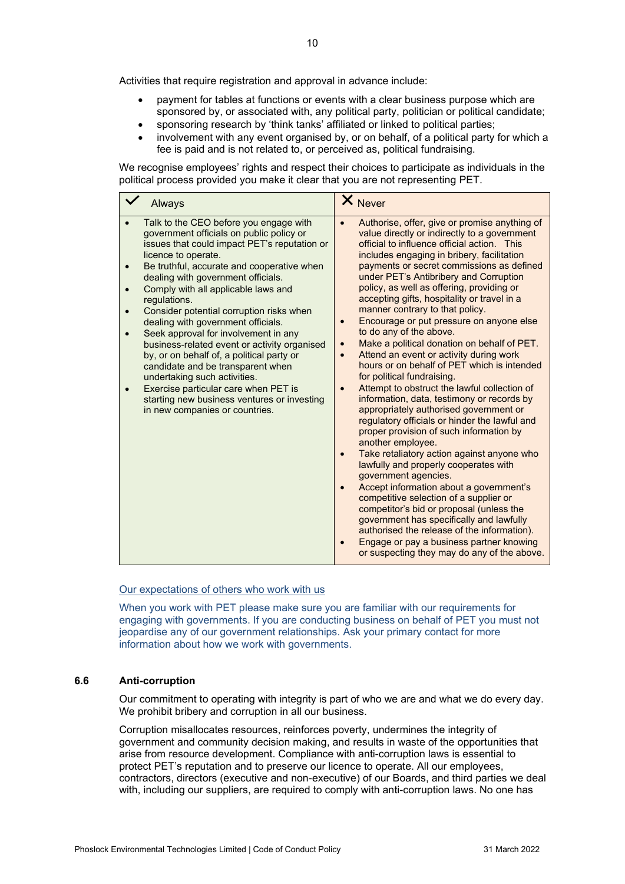Activities that require registration and approval in advance include:

- payment for tables at functions or events with a clear business purpose which are sponsored by, or associated with, any political party, politician or political candidate; sponsoring research by 'think tanks' affiliated or linked to political parties;
- involvement with any event organised by, or on behalf, of a political party for which a fee is paid and is not related to, or perceived as, political fundraising.

We recognise employees' rights and respect their choices to participate as individuals in the political process provided you make it clear that you are not representing PET.

|           | <b>Always</b>                                                                                                                                                                                                                                                                                                                                                                                                                                                                                                                                                                                                                                                                                                             | X Never                                                                                                                                                                                                                                                                                                                                                                                                                                                                                                                                                                                                                                                                                                                                                                                                                                                                                                                                                                                                                                                                                                                                                                                                                                                                                                                                                                                 |
|-----------|---------------------------------------------------------------------------------------------------------------------------------------------------------------------------------------------------------------------------------------------------------------------------------------------------------------------------------------------------------------------------------------------------------------------------------------------------------------------------------------------------------------------------------------------------------------------------------------------------------------------------------------------------------------------------------------------------------------------------|-----------------------------------------------------------------------------------------------------------------------------------------------------------------------------------------------------------------------------------------------------------------------------------------------------------------------------------------------------------------------------------------------------------------------------------------------------------------------------------------------------------------------------------------------------------------------------------------------------------------------------------------------------------------------------------------------------------------------------------------------------------------------------------------------------------------------------------------------------------------------------------------------------------------------------------------------------------------------------------------------------------------------------------------------------------------------------------------------------------------------------------------------------------------------------------------------------------------------------------------------------------------------------------------------------------------------------------------------------------------------------------------|
| $\bullet$ | Talk to the CEO before you engage with<br>government officials on public policy or<br>issues that could impact PET's reputation or<br>licence to operate.<br>Be truthful, accurate and cooperative when<br>dealing with government officials.<br>Comply with all applicable laws and<br>regulations.<br>Consider potential corruption risks when<br>dealing with government officials.<br>Seek approval for involvement in any<br>business-related event or activity organised<br>by, or on behalf of, a political party or<br>candidate and be transparent when<br>undertaking such activities.<br>Exercise particular care when PET is<br>starting new business ventures or investing<br>in new companies or countries. | Authorise, offer, give or promise anything of<br>value directly or indirectly to a government<br>official to influence official action. This<br>includes engaging in bribery, facilitation<br>payments or secret commissions as defined<br>under PET's Antibribery and Corruption<br>policy, as well as offering, providing or<br>accepting gifts, hospitality or travel in a<br>manner contrary to that policy.<br>Encourage or put pressure on anyone else<br>to do any of the above.<br>Make a political donation on behalf of PET.<br>$\bullet$<br>Attend an event or activity during work<br>$\bullet$<br>hours or on behalf of PET which is intended<br>for political fundraising.<br>Attempt to obstruct the lawful collection of<br>information, data, testimony or records by<br>appropriately authorised government or<br>regulatory officials or hinder the lawful and<br>proper provision of such information by<br>another employee.<br>Take retaliatory action against anyone who<br>lawfully and properly cooperates with<br>government agencies.<br>Accept information about a government's<br>competitive selection of a supplier or<br>competitor's bid or proposal (unless the<br>government has specifically and lawfully<br>authorised the release of the information).<br>Engage or pay a business partner knowing<br>or suspecting they may do any of the above. |

#### Our expectations of others who work with us

When you work with PET please make sure you are familiar with our requirements for engaging with governments. If you are conducting business on behalf of PET you must not jeopardise any of our government relationships. Ask your primary contact for more information about how we work with governments.

#### <span id="page-9-0"></span>**6.6 Anti-corruption**

Our commitment to operating with integrity is part of who we are and what we do every day. We prohibit bribery and corruption in all our business.

Corruption misallocates resources, reinforces poverty, undermines the integrity of government and community decision making, and results in waste of the opportunities that arise from resource development. Compliance with anti-corruption laws is essential to protect PET's reputation and to preserve our licence to operate. All our employees, contractors, directors (executive and non-executive) of our Boards, and third parties we deal with, including our suppliers, are required to comply with anti-corruption laws. No one has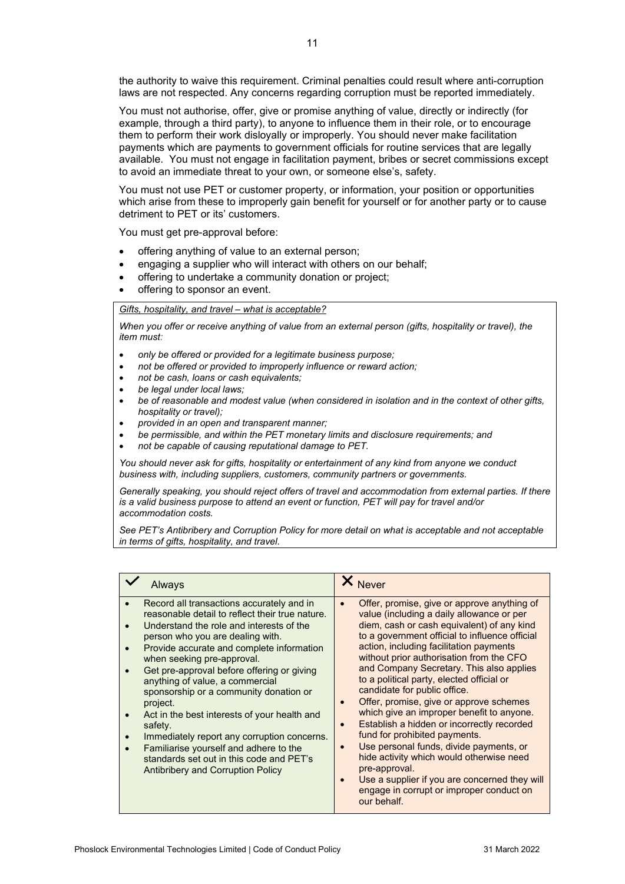the authority to waive this requirement. Criminal penalties could result where anti-corruption laws are not respected. Any concerns regarding corruption must be reported immediately.

You must not authorise, offer, give or promise anything of value, directly or indirectly (for example, through a third party), to anyone to influence them in their role, or to encourage them to perform their work disloyally or improperly. You should never make facilitation payments which are payments to government officials for routine services that are legally available. You must not engage in facilitation payment, bribes or secret commissions except to avoid an immediate threat to your own, or someone else's, safety.

You must not use PET or customer property, or information, your position or opportunities which arise from these to improperly gain benefit for yourself or for another party or to cause detriment to PET or its' customers.

You must get pre-approval before:

- offering anything of value to an external person;
- engaging a supplier who will interact with others on our behalf:
- offering to undertake a community donation or project;
- offering to sponsor an event.

#### *Gifts, hospitality, and travel – what is acceptable?*

*When you offer or receive anything of value from an external person (gifts, hospitality or travel), the item must:* 

- *only be offered or provided for a legitimate business purpose;*
- *not be offered or provided to improperly influence or reward action;*
- *not be cash, loans or cash equivalents;*
- *be legal under local laws;*
- *be of reasonable and modest value (when considered in isolation and in the context of other gifts, hospitality or travel);*
- *provided in an open and transparent manner;*
- *be permissible, and within the PET monetary limits and disclosure requirements; and*
- *not be capable of causing reputational damage to PET.*

*You should never ask for gifts, hospitality or entertainment of any kind from anyone we conduct business with, including suppliers, customers, community partners or governments.*

*Generally speaking, you should reject offers of travel and accommodation from external parties. If there is a valid business purpose to attend an event or function, PET will pay for travel and/or accommodation costs.*

*See PET's Antibribery and Corruption Policy for more detail on what is acceptable and not acceptable in terms of gifts, hospitality, and travel.*

| <b>Always</b>                                                                                                                                                                                                                                                                                                                                                                                                                                                                                                                                                                                                                       | X Never                                                                                                                                                                                                                                                                                                                                                                                                                                                                                                                                                                                                                                                                                                                                                                                             |
|-------------------------------------------------------------------------------------------------------------------------------------------------------------------------------------------------------------------------------------------------------------------------------------------------------------------------------------------------------------------------------------------------------------------------------------------------------------------------------------------------------------------------------------------------------------------------------------------------------------------------------------|-----------------------------------------------------------------------------------------------------------------------------------------------------------------------------------------------------------------------------------------------------------------------------------------------------------------------------------------------------------------------------------------------------------------------------------------------------------------------------------------------------------------------------------------------------------------------------------------------------------------------------------------------------------------------------------------------------------------------------------------------------------------------------------------------------|
| Record all transactions accurately and in<br>reasonable detail to reflect their true nature.<br>Understand the role and interests of the<br>person who you are dealing with.<br>Provide accurate and complete information<br>when seeking pre-approval.<br>Get pre-approval before offering or giving<br>anything of value, a commercial<br>sponsorship or a community donation or<br>project.<br>Act in the best interests of your health and<br>safety.<br>Immediately report any corruption concerns.<br>Familiarise yourself and adhere to the<br>standards set out in this code and PET's<br>Antibribery and Corruption Policy | Offer, promise, give or approve anything of<br>value (including a daily allowance or per<br>diem, cash or cash equivalent) of any kind<br>to a government official to influence official<br>action, including facilitation payments<br>without prior authorisation from the CFO<br>and Company Secretary. This also applies<br>to a political party, elected official or<br>candidate for public office.<br>Offer, promise, give or approve schemes<br>which give an improper benefit to anyone.<br>Establish a hidden or incorrectly recorded<br>fund for prohibited payments.<br>Use personal funds, divide payments, or<br>hide activity which would otherwise need<br>pre-approval.<br>Use a supplier if you are concerned they will<br>engage in corrupt or improper conduct on<br>our behalf. |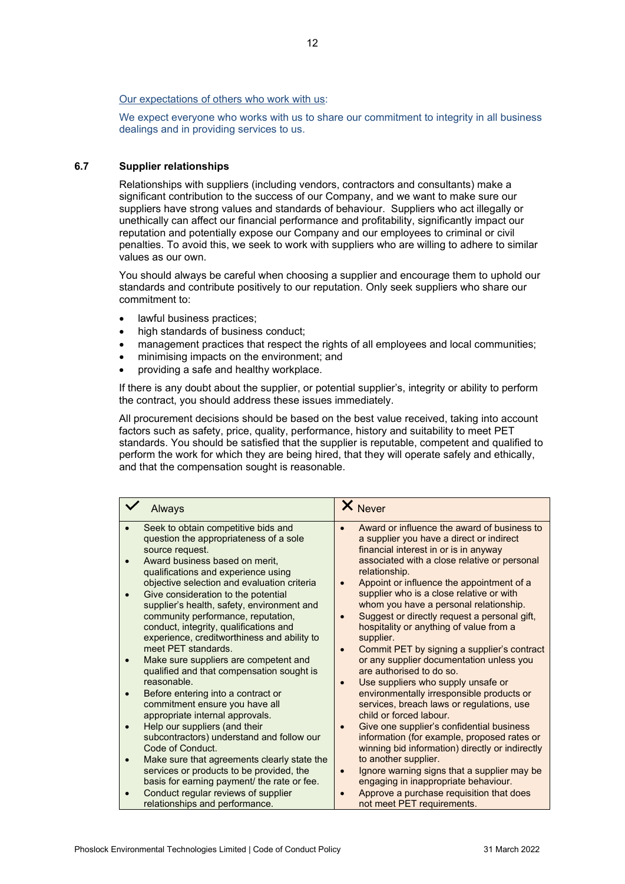#### Our expectations of others who work with us:

We expect everyone who works with us to share our commitment to integrity in all business dealings and in providing services to us.

#### <span id="page-11-0"></span>**6.7 Supplier relationships**

Relationships with suppliers (including vendors, contractors and consultants) make a significant contribution to the success of our Company, and we want to make sure our suppliers have strong values and standards of behaviour. Suppliers who act illegally or unethically can affect our financial performance and profitability, significantly impact our reputation and potentially expose our Company and our employees to criminal or civil penalties. To avoid this, we seek to work with suppliers who are willing to adhere to similar values as our own.

You should always be careful when choosing a supplier and encourage them to uphold our standards and contribute positively to our reputation. Only seek suppliers who share our commitment to:

- lawful business practices:
- high standards of business conduct;
- management practices that respect the rights of all employees and local communities;
- minimising impacts on the environment; and
- providing a safe and healthy workplace.

If there is any doubt about the supplier, or potential supplier's, integrity or ability to perform the contract, you should address these issues immediately.

All procurement decisions should be based on the best value received, taking into account factors such as safety, price, quality, performance, history and suitability to meet PET standards. You should be satisfied that the supplier is reputable, competent and qualified to perform the work for which they are being hired, that they will operate safely and ethically, and that the compensation sought is reasonable.

| Always                                                                                                  | X Never                                                                                                                                                 |
|---------------------------------------------------------------------------------------------------------|---------------------------------------------------------------------------------------------------------------------------------------------------------|
| Seek to obtain competitive bids and                                                                     | Award or influence the award of business to                                                                                                             |
| question the appropriateness of a sole                                                                  | a supplier you have a direct or indirect                                                                                                                |
| source request.                                                                                         | financial interest in or is in anyway                                                                                                                   |
| Award business based on merit,                                                                          | associated with a close relative or personal                                                                                                            |
| qualifications and experience using                                                                     | relationship.                                                                                                                                           |
| objective selection and evaluation criteria                                                             | Appoint or influence the appointment of a                                                                                                               |
| Give consideration to the potential                                                                     | supplier who is a close relative or with                                                                                                                |
| supplier's health, safety, environment and                                                              | whom you have a personal relationship.                                                                                                                  |
| community performance, reputation,                                                                      | Suggest or directly request a personal gift,                                                                                                            |
| conduct, integrity, qualifications and                                                                  | hospitality or anything of value from a                                                                                                                 |
| experience, creditworthiness and ability to                                                             | supplier.                                                                                                                                               |
| meet PET standards.                                                                                     | Commit PET by signing a supplier's contract                                                                                                             |
| Make sure suppliers are competent and<br>qualified and that compensation sought is<br>reasonable.       | or any supplier documentation unless you<br>are authorised to do so.                                                                                    |
| Before entering into a contract or<br>commitment ensure you have all<br>appropriate internal approvals. | Use suppliers who supply unsafe or<br>environmentally irresponsible products or<br>services, breach laws or regulations, use<br>child or forced labour. |
| Help our suppliers (and their                                                                           | Give one supplier's confidential business                                                                                                               |
| subcontractors) understand and follow our                                                               | information (for example, proposed rates or                                                                                                             |
| Code of Conduct.                                                                                        | winning bid information) directly or indirectly                                                                                                         |
| Make sure that agreements clearly state the                                                             | to another supplier.                                                                                                                                    |
| services or products to be provided, the                                                                | Ignore warning signs that a supplier may be                                                                                                             |
| basis for earning payment/ the rate or fee.                                                             | engaging in inappropriate behaviour.                                                                                                                    |
| Conduct regular reviews of supplier                                                                     | Approve a purchase requisition that does                                                                                                                |
| relationships and performance.                                                                          | not meet PET requirements.                                                                                                                              |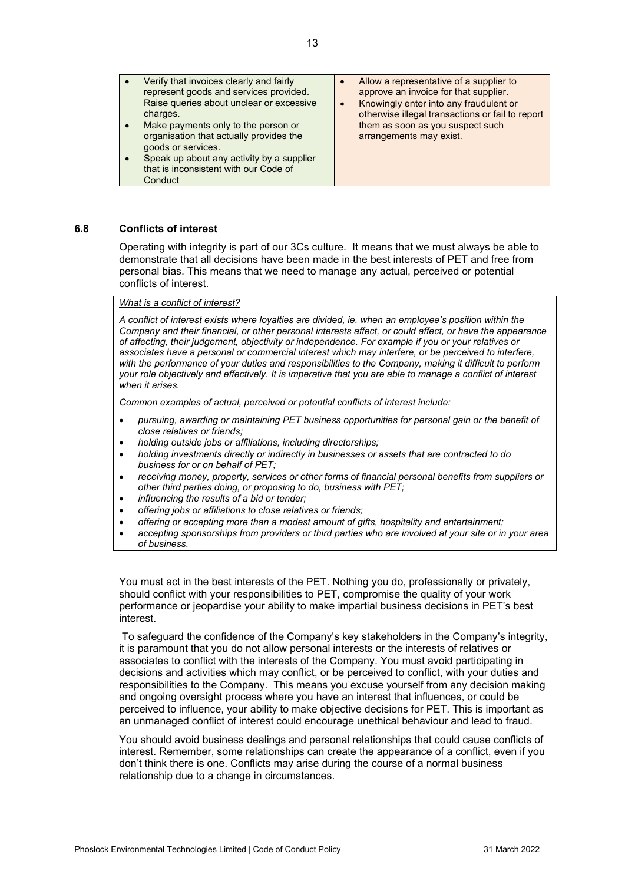|  | represent goods and services provided.<br>Raise queries about unclear or excessive<br>charges.<br>Make payments only to the person or<br>organisation that actually provides the<br>goods or services.<br>Speak up about any activity by a supplier<br>that is inconsistent with our Code of<br>Conduct | approve an invoice for that supplier.<br>Knowingly enter into any fraudulent or<br>otherwise illegal transactions or fail to report<br>them as soon as you suspect such<br>arrangements may exist. |
|--|---------------------------------------------------------------------------------------------------------------------------------------------------------------------------------------------------------------------------------------------------------------------------------------------------------|----------------------------------------------------------------------------------------------------------------------------------------------------------------------------------------------------|
|--|---------------------------------------------------------------------------------------------------------------------------------------------------------------------------------------------------------------------------------------------------------------------------------------------------------|----------------------------------------------------------------------------------------------------------------------------------------------------------------------------------------------------|

#### <span id="page-12-0"></span>**6.8 Conflicts of interest**

Operating with integrity is part of our 3Cs culture. It means that we must always be able to demonstrate that all decisions have been made in the best interests of PET and free from personal bias. This means that we need to manage any actual, perceived or potential conflicts of interest.

#### *What is a conflict of interest?*

*A conflict of interest exists where loyalties are divided, ie. when an employee's position within the Company and their financial, or other personal interests affect, or could affect, or have the appearance of affecting, their judgement, objectivity or independence. For example if you or your relatives or associates have a personal or commercial interest which may interfere, or be perceived to interfere, with the performance of your duties and responsibilities to the Company, making it difficult to perform your role objectively and effectively. It is imperative that you are able to manage a conflict of interest when it arises.* 

*Common examples of actual, perceived or potential conflicts of interest include:*

- *pursuing, awarding or maintaining PET business opportunities for personal gain or the benefit of close relatives or friends;*
- *holding outside jobs or affiliations, including directorships;*
- *holding investments directly or indirectly in businesses or assets that are contracted to do business for or on behalf of PET;*
- *receiving money, property, services or other forms of financial personal benefits from suppliers or other third parties doing, or proposing to do, business with PET;*
- *influencing the results of a bid or tender;*
- *offering jobs or affiliations to close relatives or friends;*
- *offering or accepting more than a modest amount of gifts, hospitality and entertainment;*
- *accepting sponsorships from providers or third parties who are involved at your site or in your area of business.*

You must act in the best interests of the PET. Nothing you do, professionally or privately, should conflict with your responsibilities to PET, compromise the quality of your work performance or jeopardise your ability to make impartial business decisions in PET's best interest.

To safeguard the confidence of the Company's key stakeholders in the Company's integrity, it is paramount that you do not allow personal interests or the interests of relatives or associates to conflict with the interests of the Company. You must avoid participating in decisions and activities which may conflict, or be perceived to conflict, with your duties and responsibilities to the Company. This means you excuse yourself from any decision making and ongoing oversight process where you have an interest that influences, or could be perceived to influence, your ability to make objective decisions for PET. This is important as an unmanaged conflict of interest could encourage unethical behaviour and lead to fraud.

You should avoid business dealings and personal relationships that could cause conflicts of interest. Remember, some relationships can create the appearance of a conflict, even if you don't think there is one. Conflicts may arise during the course of a normal business relationship due to a change in circumstances.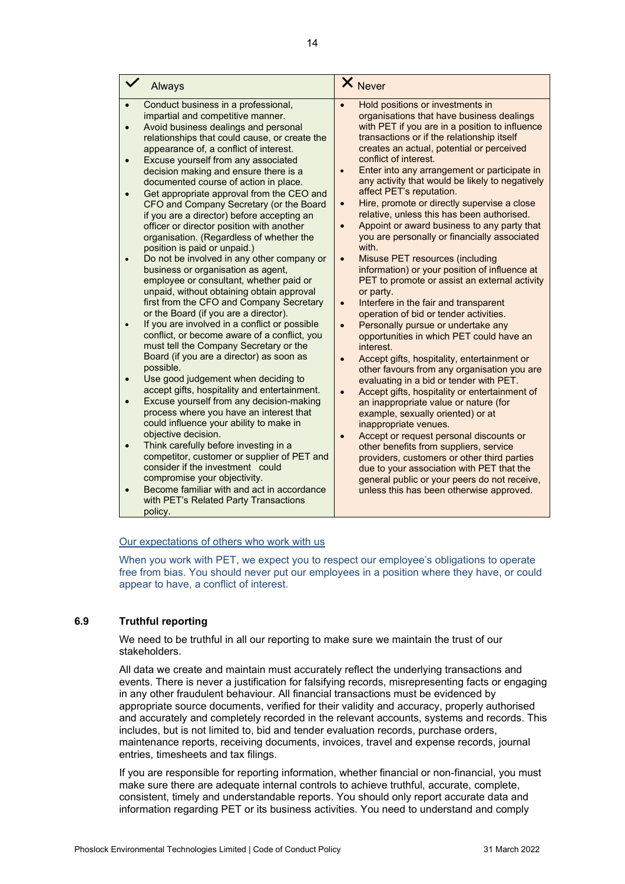#### Our expectations of others who work with us

When you work with PET, we expect you to respect our employee's obligations to operate free from bias. You should never put our employees in a position where they have, or could appear to have, a conflict of interest.

#### <span id="page-13-0"></span>**6.9 Truthful reporting**

We need to be truthful in all our reporting to make sure we maintain the trust of our stakeholders.

All data we create and maintain must accurately reflect the underlying transactions and events. There is never a justification for falsifying records, misrepresenting facts or engaging in any other fraudulent behaviour. All financial transactions must be evidenced by appropriate source documents, verified for their validity and accuracy, properly authorised and accurately and completely recorded in the relevant accounts, systems and records. This includes, but is not limited to, bid and tender evaluation records, purchase orders, maintenance reports, receiving documents, invoices, travel and expense records, journal entries, timesheets and tax filings.

If you are responsible for reporting information, whether financial or non-financial, you must make sure there are adequate internal controls to achieve truthful, accurate, complete, consistent, timely and understandable reports. You should only report accurate data and information regarding PET or its business activities. You need to understand and comply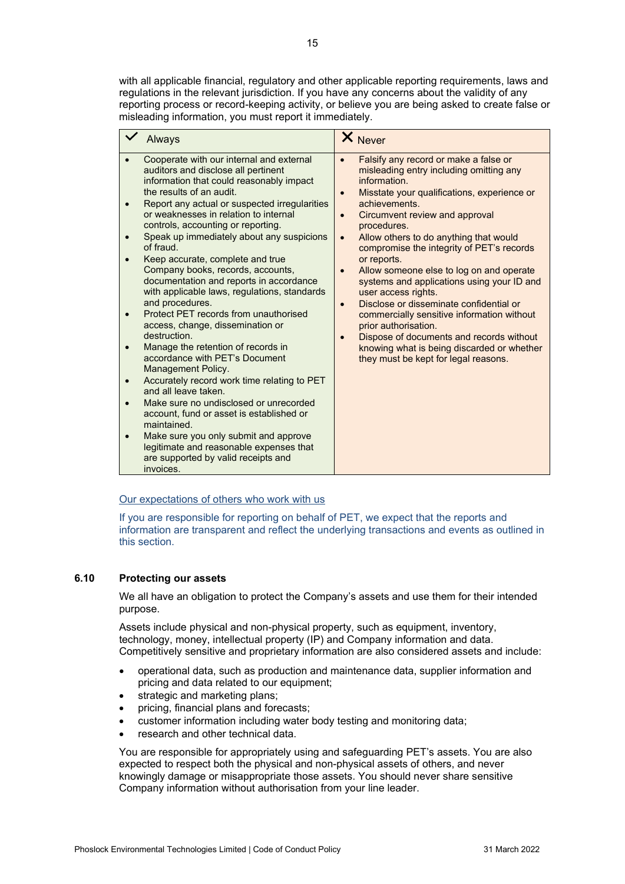with all applicable financial, regulatory and other applicable reporting requirements, laws and regulations in the relevant jurisdiction. If you have any concerns about the validity of any reporting process or record-keeping activity, or believe you are being asked to create false or misleading information, you must report it immediately.

#### Our expectations of others who work with us

If you are responsible for reporting on behalf of PET, we expect that the reports and information are transparent and reflect the underlying transactions and events as outlined in this section.

#### <span id="page-14-0"></span>**6.10 Protecting our assets**

We all have an obligation to protect the Company's assets and use them for their intended purpose.

Assets include physical and non-physical property, such as equipment, inventory, technology, money, intellectual property (IP) and Company information and data. Competitively sensitive and proprietary information are also considered assets and include:

- operational data, such as production and maintenance data, supplier information and pricing and data related to our equipment;
- strategic and marketing plans;
- pricing, financial plans and forecasts;
- customer information including water body testing and monitoring data;
- research and other technical data.

You are responsible for appropriately using and safeguarding PET's assets. You are also expected to respect both the physical and non-physical assets of others, and never knowingly damage or misappropriate those assets. You should never share sensitive Company information without authorisation from your line leader.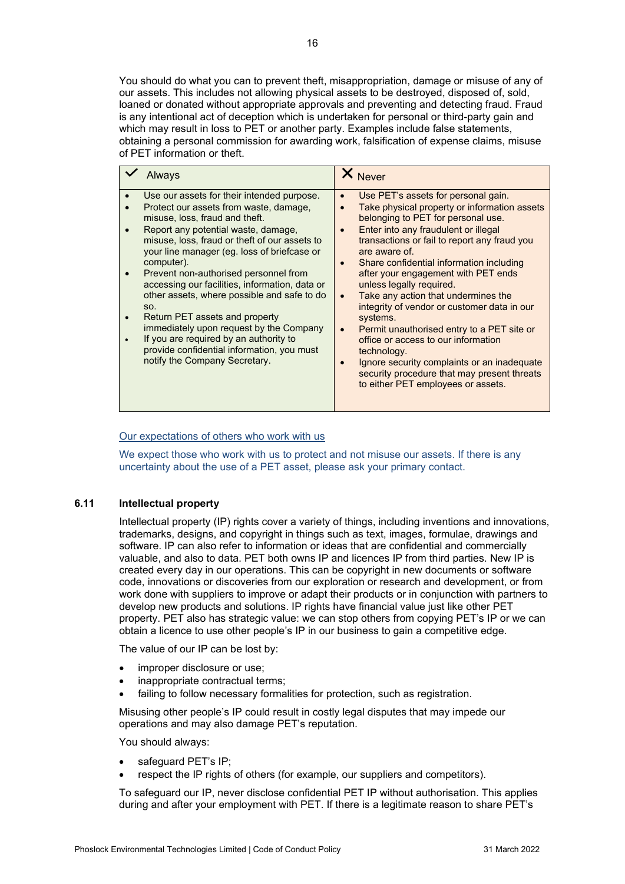### Our expectations of others who work with us

of PET information or theft.

We expect those who work with us to protect and not misuse our assets. If there is any uncertainty about the use of a PET asset, please ask your primary contact.

#### <span id="page-15-0"></span>**6.11 Intellectual property**

Intellectual property (IP) rights cover a variety of things, including inventions and innovations, trademarks, designs, and copyright in things such as text, images, formulae, drawings and software. IP can also refer to information or ideas that are confidential and commercially valuable, and also to data. PET both owns IP and licences IP from third parties. New IP is created every day in our operations. This can be copyright in new documents or software code, innovations or discoveries from our exploration or research and development, or from work done with suppliers to improve or adapt their products or in conjunction with partners to develop new products and solutions. IP rights have financial value just like other PET property. PET also has strategic value: we can stop others from copying PET's IP or we can obtain a licence to use other people's IP in our business to gain a competitive edge.

The value of our IP can be lost by:

- improper disclosure or use;
- inappropriate contractual terms;
- failing to follow necessary formalities for protection, such as registration.

Misusing other people's IP could result in costly legal disputes that may impede our operations and may also damage PET's reputation.

You should always:

- safeguard PET's IP;
- respect the IP rights of others (for example, our suppliers and competitors).

To safeguard our IP, never disclose confidential PET IP without authorisation. This applies during and after your employment with PET. If there is a legitimate reason to share PET's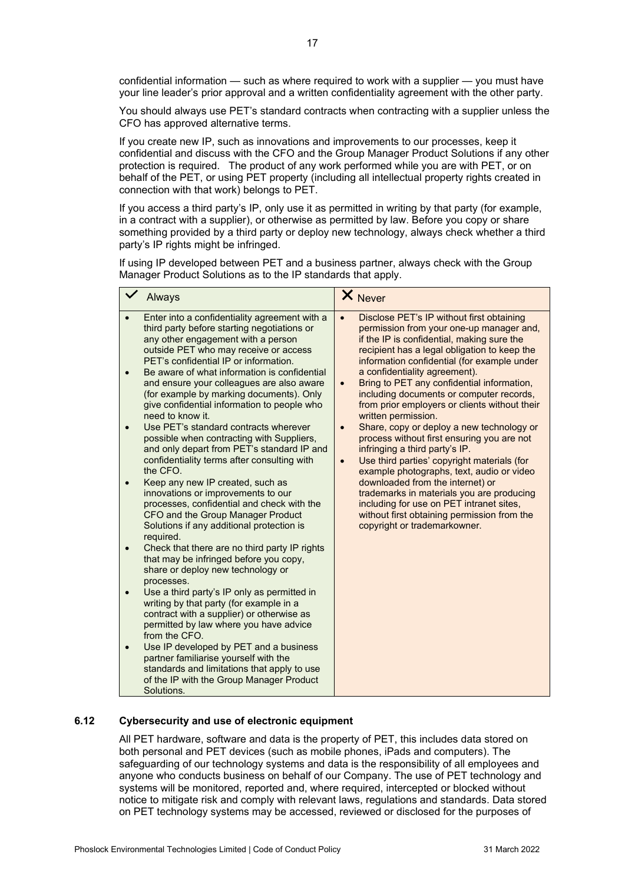confidential information — such as where required to work with a supplier — you must have your line leader's prior approval and a written confidentiality agreement with the other party.

You should always use PET's standard contracts when contracting with a supplier unless the CFO has approved alternative terms.

If you create new IP, such as innovations and improvements to our processes, keep it confidential and discuss with the CFO and the Group Manager Product Solutions if any other protection is required. The product of any work performed while you are with PET, or on behalf of the PET, or using PET property (including all intellectual property rights created in connection with that work) belongs to PET.

If you access a third party's IP, only use it as permitted in writing by that party (for example, in a contract with a supplier), or otherwise as permitted by law. Before you copy or share something provided by a third party or deploy new technology, always check whether a third party's IP rights might be infringed.

If using IP developed between PET and a business partner, always check with the Group Manager Product Solutions as to the IP standards that apply.

|                                     | Always                                                                                                                                                                                                                                                                                                                                                                                                                                                                                                                                                                                                                                                                                                                                                                                                                                                                                                                                                                                                                                                                                                                                                                                                                                                                                                                                                                                             | X Never                                                                                                                                                                                                                                                                                                                                                                                                                                                                                                                                                                                                                                                                                                                                                                                                                                                                                                                        |
|-------------------------------------|----------------------------------------------------------------------------------------------------------------------------------------------------------------------------------------------------------------------------------------------------------------------------------------------------------------------------------------------------------------------------------------------------------------------------------------------------------------------------------------------------------------------------------------------------------------------------------------------------------------------------------------------------------------------------------------------------------------------------------------------------------------------------------------------------------------------------------------------------------------------------------------------------------------------------------------------------------------------------------------------------------------------------------------------------------------------------------------------------------------------------------------------------------------------------------------------------------------------------------------------------------------------------------------------------------------------------------------------------------------------------------------------------|--------------------------------------------------------------------------------------------------------------------------------------------------------------------------------------------------------------------------------------------------------------------------------------------------------------------------------------------------------------------------------------------------------------------------------------------------------------------------------------------------------------------------------------------------------------------------------------------------------------------------------------------------------------------------------------------------------------------------------------------------------------------------------------------------------------------------------------------------------------------------------------------------------------------------------|
| $\bullet$<br>$\bullet$<br>$\bullet$ | Enter into a confidentiality agreement with a<br>third party before starting negotiations or<br>any other engagement with a person<br>outside PET who may receive or access<br>PET's confidential IP or information.<br>Be aware of what information is confidential<br>and ensure your colleagues are also aware<br>(for example by marking documents). Only<br>give confidential information to people who<br>need to know it.<br>Use PET's standard contracts wherever<br>possible when contracting with Suppliers,<br>and only depart from PET's standard IP and<br>confidentiality terms after consulting with<br>the CFO.<br>Keep any new IP created, such as<br>innovations or improvements to our<br>processes, confidential and check with the<br>CFO and the Group Manager Product<br>Solutions if any additional protection is<br>required.<br>Check that there are no third party IP rights<br>that may be infringed before you copy,<br>share or deploy new technology or<br>processes.<br>Use a third party's IP only as permitted in<br>writing by that party (for example in a<br>contract with a supplier) or otherwise as<br>permitted by law where you have advice<br>from the CFO.<br>Use IP developed by PET and a business<br>partner familiarise yourself with the<br>standards and limitations that apply to use<br>of the IP with the Group Manager Product<br>Solutions. | Disclose PET's IP without first obtaining<br>$\bullet$<br>permission from your one-up manager and,<br>if the IP is confidential, making sure the<br>recipient has a legal obligation to keep the<br>information confidential (for example under<br>a confidentiality agreement).<br>Bring to PET any confidential information,<br>$\bullet$<br>including documents or computer records,<br>from prior employers or clients without their<br>written permission.<br>Share, copy or deploy a new technology or<br>$\bullet$<br>process without first ensuring you are not<br>infringing a third party's IP.<br>Use third parties' copyright materials (for<br>$\bullet$<br>example photographs, text, audio or video<br>downloaded from the internet) or<br>trademarks in materials you are producing<br>including for use on PET intranet sites,<br>without first obtaining permission from the<br>copyright or trademarkowner. |

#### <span id="page-16-0"></span>**6.12 Cybersecurity and use of electronic equipment**

All PET hardware, software and data is the property of PET, this includes data stored on both personal and PET devices (such as mobile phones, iPads and computers). The safeguarding of our technology systems and data is the responsibility of all employees and anyone who conducts business on behalf of our Company. The use of PET technology and systems will be monitored, reported and, where required, intercepted or blocked without notice to mitigate risk and comply with relevant laws, regulations and standards. Data stored on PET technology systems may be accessed, reviewed or disclosed for the purposes of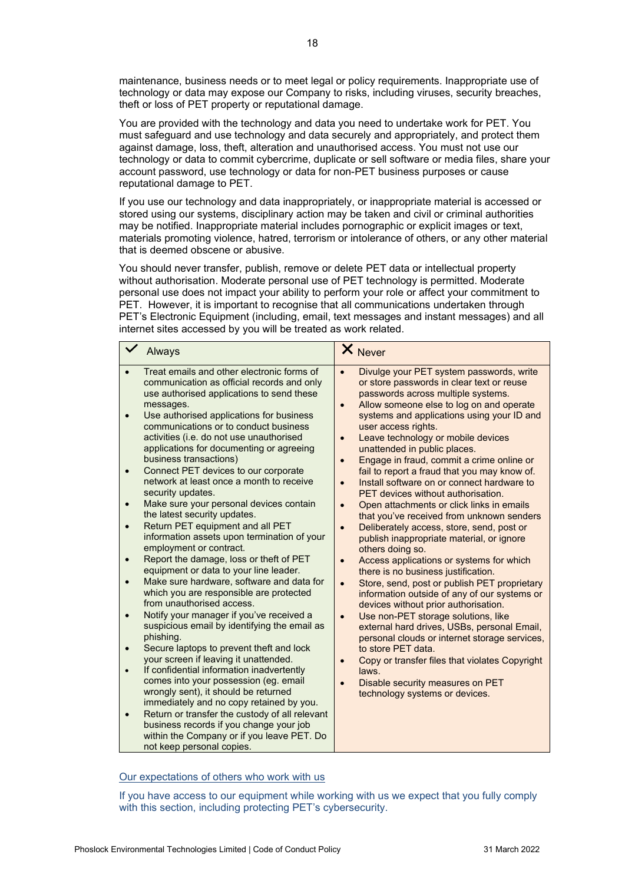maintenance, business needs or to meet legal or policy requirements. Inappropriate use of technology or data may expose our Company to risks, including viruses, security breaches, theft or loss of PET property or reputational damage.

You are provided with the technology and data you need to undertake work for PET. You must safeguard and use technology and data securely and appropriately, and protect them against damage, loss, theft, alteration and unauthorised access. You must not use our technology or data to commit cybercrime, duplicate or sell software or media files, share your account password, use technology or data for non-PET business purposes or cause reputational damage to PET.

If you use our technology and data inappropriately, or inappropriate material is accessed or stored using our systems, disciplinary action may be taken and civil or criminal authorities may be notified. Inappropriate material includes pornographic or explicit images or text, materials promoting violence, hatred, terrorism or intolerance of others, or any other material that is deemed obscene or abusive.

You should never transfer, publish, remove or delete PET data or intellectual property without authorisation. Moderate personal use of PET technology is permitted. Moderate personal use does not impact your ability to perform your role or affect your commitment to PET. However, it is important to recognise that all communications undertaken through PET's Electronic Equipment (including, email, text messages and instant messages) and all internet sites accessed by you will be treated as work related.

|           | Always                                                                                                                                                                                                                                                                                                                                                                                                                                                                                                                                                                                                                                                                                                                                                                                                                                                                                                                                                                                                                                                                                                                                                                                                                                                                                                                                                                                   | X Never                                                                                                                                                                                                                                                                                                                                                                                                                                                                                                                                                                                                                                                                                                                                                                                                                                                                                                                                                                                                                                                                                                                                                                                                                                                                                                                                                                |
|-----------|------------------------------------------------------------------------------------------------------------------------------------------------------------------------------------------------------------------------------------------------------------------------------------------------------------------------------------------------------------------------------------------------------------------------------------------------------------------------------------------------------------------------------------------------------------------------------------------------------------------------------------------------------------------------------------------------------------------------------------------------------------------------------------------------------------------------------------------------------------------------------------------------------------------------------------------------------------------------------------------------------------------------------------------------------------------------------------------------------------------------------------------------------------------------------------------------------------------------------------------------------------------------------------------------------------------------------------------------------------------------------------------|------------------------------------------------------------------------------------------------------------------------------------------------------------------------------------------------------------------------------------------------------------------------------------------------------------------------------------------------------------------------------------------------------------------------------------------------------------------------------------------------------------------------------------------------------------------------------------------------------------------------------------------------------------------------------------------------------------------------------------------------------------------------------------------------------------------------------------------------------------------------------------------------------------------------------------------------------------------------------------------------------------------------------------------------------------------------------------------------------------------------------------------------------------------------------------------------------------------------------------------------------------------------------------------------------------------------------------------------------------------------|
| $\bullet$ | Treat emails and other electronic forms of<br>communication as official records and only<br>use authorised applications to send these<br>messages.<br>Use authorised applications for business<br>communications or to conduct business<br>activities (i.e. do not use unauthorised<br>applications for documenting or agreeing<br>business transactions)<br>Connect PET devices to our corporate<br>network at least once a month to receive<br>security updates.<br>Make sure your personal devices contain<br>the latest security updates.<br>Return PET equipment and all PET<br>information assets upon termination of your<br>employment or contract.<br>Report the damage, loss or theft of PET<br>equipment or data to your line leader.<br>Make sure hardware, software and data for<br>which you are responsible are protected<br>from unauthorised access.<br>Notify your manager if you've received a<br>suspicious email by identifying the email as<br>phishing.<br>Secure laptops to prevent theft and lock<br>your screen if leaving it unattended.<br>If confidential information inadvertently<br>comes into your possession (eg. email<br>wrongly sent), it should be returned<br>immediately and no copy retained by you.<br>Return or transfer the custody of all relevant<br>business records if you change your job<br>within the Company or if you leave PET. Do | Divulge your PET system passwords, write<br>$\bullet$<br>or store passwords in clear text or reuse<br>passwords across multiple systems.<br>Allow someone else to log on and operate<br>$\bullet$<br>systems and applications using your ID and<br>user access rights.<br>Leave technology or mobile devices<br>$\bullet$<br>unattended in public places.<br>Engage in fraud, commit a crime online or<br>$\bullet$<br>fail to report a fraud that you may know of.<br>Install software on or connect hardware to<br>$\bullet$<br>PET devices without authorisation.<br>Open attachments or click links in emails<br>$\bullet$<br>that you've received from unknown senders<br>Deliberately access, store, send, post or<br>$\bullet$<br>publish inappropriate material, or ignore<br>others doing so.<br>Access applications or systems for which<br>$\bullet$<br>there is no business justification.<br>Store, send, post or publish PET proprietary<br>$\bullet$<br>information outside of any of our systems or<br>devices without prior authorisation.<br>Use non-PET storage solutions, like<br>$\bullet$<br>external hard drives, USBs, personal Email,<br>personal clouds or internet storage services,<br>to store PET data.<br>Copy or transfer files that violates Copyright<br>laws.<br>Disable security measures on PET<br>technology systems or devices. |
|           | not keep personal copies.                                                                                                                                                                                                                                                                                                                                                                                                                                                                                                                                                                                                                                                                                                                                                                                                                                                                                                                                                                                                                                                                                                                                                                                                                                                                                                                                                                |                                                                                                                                                                                                                                                                                                                                                                                                                                                                                                                                                                                                                                                                                                                                                                                                                                                                                                                                                                                                                                                                                                                                                                                                                                                                                                                                                                        |

#### Our expectations of others who work with us

If you have access to our equipment while working with us we expect that you fully comply with this section, including protecting PET's cybersecurity.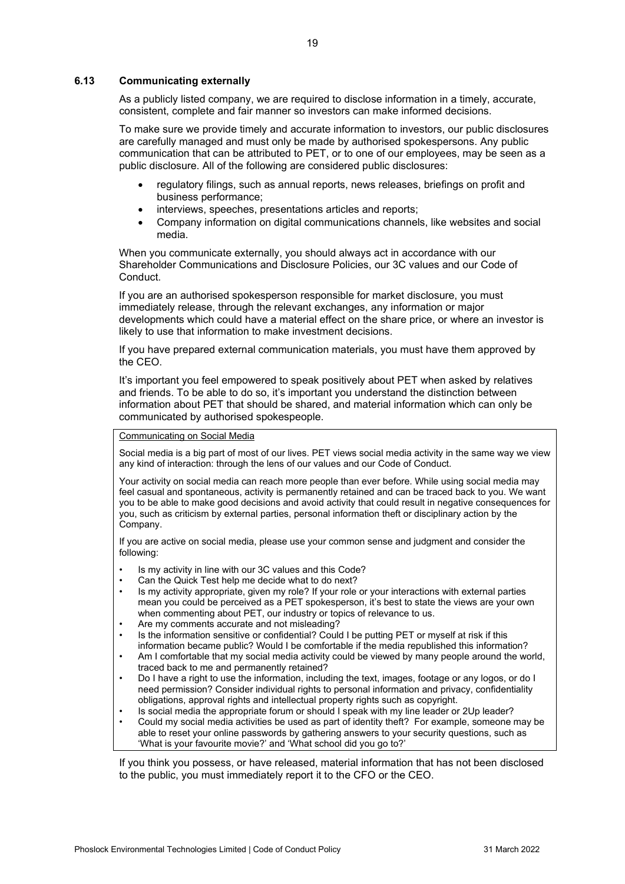#### <span id="page-18-0"></span>**6.13 Communicating externally**

As a publicly listed company, we are required to disclose information in a timely, accurate, consistent, complete and fair manner so investors can make informed decisions.

To make sure we provide timely and accurate information to investors, our public disclosures are carefully managed and must only be made by authorised spokespersons. Any public communication that can be attributed to PET, or to one of our employees, may be seen as a public disclosure. All of the following are considered public disclosures:

- regulatory filings, such as annual reports, news releases, briefings on profit and business performance;
- interviews, speeches, presentations articles and reports;
- Company information on digital communications channels, like websites and social media.

When you communicate externally, you should always act in accordance with our Shareholder Communications and Disclosure Policies, our 3C values and our Code of Conduct.

If you are an authorised spokesperson responsible for market disclosure, you must immediately release, through the relevant exchanges, any information or major developments which could have a material effect on the share price, or where an investor is likely to use that information to make investment decisions.

If you have prepared external communication materials, you must have them approved by the CEO.

It's important you feel empowered to speak positively about PET when asked by relatives and friends. To be able to do so, it's important you understand the distinction between information about PET that should be shared, and material information which can only be communicated by authorised spokespeople.

#### Communicating on Social Media

Social media is a big part of most of our lives. PET views social media activity in the same way we view any kind of interaction: through the lens of our values and our Code of Conduct.

Your activity on social media can reach more people than ever before. While using social media may feel casual and spontaneous, activity is permanently retained and can be traced back to you. We want you to be able to make good decisions and avoid activity that could result in negative consequences for you, such as criticism by external parties, personal information theft or disciplinary action by the Company.

If you are active on social media, please use your common sense and judgment and consider the following:

- Is my activity in line with our 3C values and this Code?
- Can the Quick Test help me decide what to do next?
- Is my activity appropriate, given my role? If your role or your interactions with external parties mean you could be perceived as a PET spokesperson, it's best to state the views are your own when commenting about PET, our industry or topics of relevance to us.
- Are my comments accurate and not misleading?
- Is the information sensitive or confidential? Could I be putting PET or myself at risk if this information became public? Would I be comfortable if the media republished this information?
- Am I comfortable that my social media activity could be viewed by many people around the world, traced back to me and permanently retained?
- Do I have a right to use the information, including the text, images, footage or any logos, or do I need permission? Consider individual rights to personal information and privacy, confidentiality obligations, approval rights and intellectual property rights such as copyright.
- Is social media the appropriate forum or should I speak with my line leader or 2Up leader?
- Could my social media activities be used as part of identity theft? For example, someone may be able to reset your online passwords by gathering answers to your security questions, such as 'What is your favourite movie?' and 'What school did you go to?'

If you think you possess, or have released, material information that has not been disclosed to the public, you must immediately report it to the CFO or the CEO.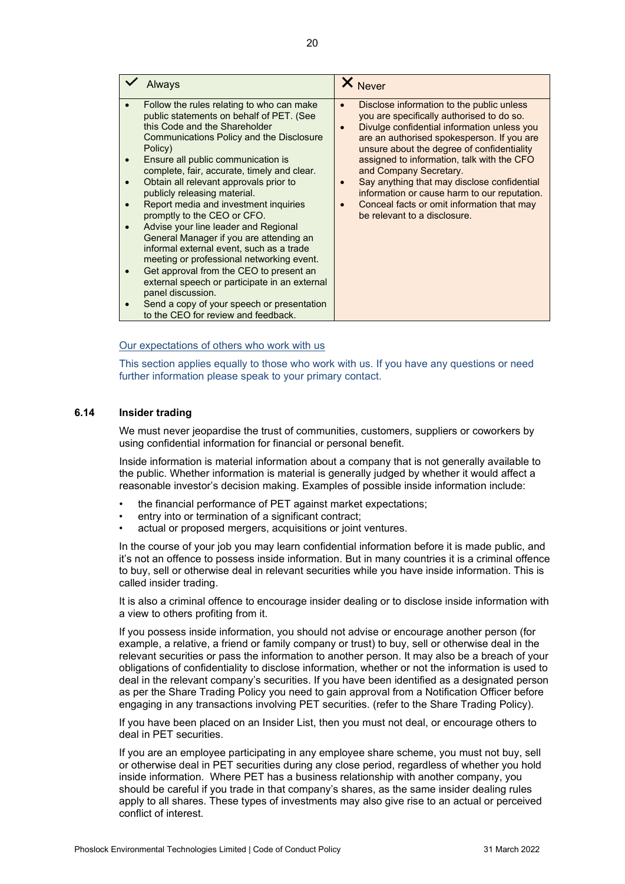| <b>Always</b>                                                                                                                                                                                                                                                                                                                                                                    |                                                                                                                                                                                                                                                                                                                                                                                                                    | X Never                                                                                                                                                                                                                                                                                                                                                                                                                                                                                |
|----------------------------------------------------------------------------------------------------------------------------------------------------------------------------------------------------------------------------------------------------------------------------------------------------------------------------------------------------------------------------------|--------------------------------------------------------------------------------------------------------------------------------------------------------------------------------------------------------------------------------------------------------------------------------------------------------------------------------------------------------------------------------------------------------------------|----------------------------------------------------------------------------------------------------------------------------------------------------------------------------------------------------------------------------------------------------------------------------------------------------------------------------------------------------------------------------------------------------------------------------------------------------------------------------------------|
| this Code and the Shareholder<br>Policy)<br>Ensure all public communication is<br>Obtain all relevant approvals prior to<br>publicly releasing material.<br>Report media and investment inquiries<br>promptly to the CEO or CFO.<br>Advise your line leader and Regional<br>informal external event, such as a trade<br>panel discussion.<br>to the CEO for review and feedback. | Follow the rules relating to who can make<br>public statements on behalf of PET. (See<br>Communications Policy and the Disclosure<br>complete, fair, accurate, timely and clear.<br>General Manager if you are attending an<br>meeting or professional networking event.<br>Get approval from the CEO to present an<br>external speech or participate in an external<br>Send a copy of your speech or presentation | Disclose information to the public unless<br>you are specifically authorised to do so.<br>Divulge confidential information unless you<br>are an authorised spokesperson. If you are<br>unsure about the degree of confidentiality<br>assigned to information, talk with the CFO<br>and Company Secretary.<br>Say anything that may disclose confidential<br>information or cause harm to our reputation.<br>Conceal facts or omit information that may<br>be relevant to a disclosure. |

#### Our expectations of others who work with us

This section applies equally to those who work with us. If you have any questions or need further information please speak to your primary contact.

#### <span id="page-19-0"></span>**6.14 Insider trading**

We must never jeopardise the trust of communities, customers, suppliers or coworkers by using confidential information for financial or personal benefit.

Inside information is material information about a company that is not generally available to the public. Whether information is material is generally judged by whether it would affect a reasonable investor's decision making. Examples of possible inside information include:

- the financial performance of PET against market expectations;
- entry into or termination of a significant contract:
- actual or proposed mergers, acquisitions or joint ventures.

In the course of your job you may learn confidential information before it is made public, and it's not an offence to possess inside information. But in many countries it is a criminal offence to buy, sell or otherwise deal in relevant securities while you have inside information. This is called insider trading.

It is also a criminal offence to encourage insider dealing or to disclose inside information with a view to others profiting from it.

If you possess inside information, you should not advise or encourage another person (for example, a relative, a friend or family company or trust) to buy, sell or otherwise deal in the relevant securities or pass the information to another person. It may also be a breach of your obligations of confidentiality to disclose information, whether or not the information is used to deal in the relevant company's securities. If you have been identified as a designated person as per the Share Trading Policy you need to gain approval from a Notification Officer before engaging in any transactions involving PET securities. (refer to the Share Trading Policy).

If you have been placed on an Insider List, then you must not deal, or encourage others to deal in PET securities.

If you are an employee participating in any employee share scheme, you must not buy, sell or otherwise deal in PET securities during any close period, regardless of whether you hold inside information. Where PET has a business relationship with another company, you should be careful if you trade in that company's shares, as the same insider dealing rules apply to all shares. These types of investments may also give rise to an actual or perceived conflict of interest.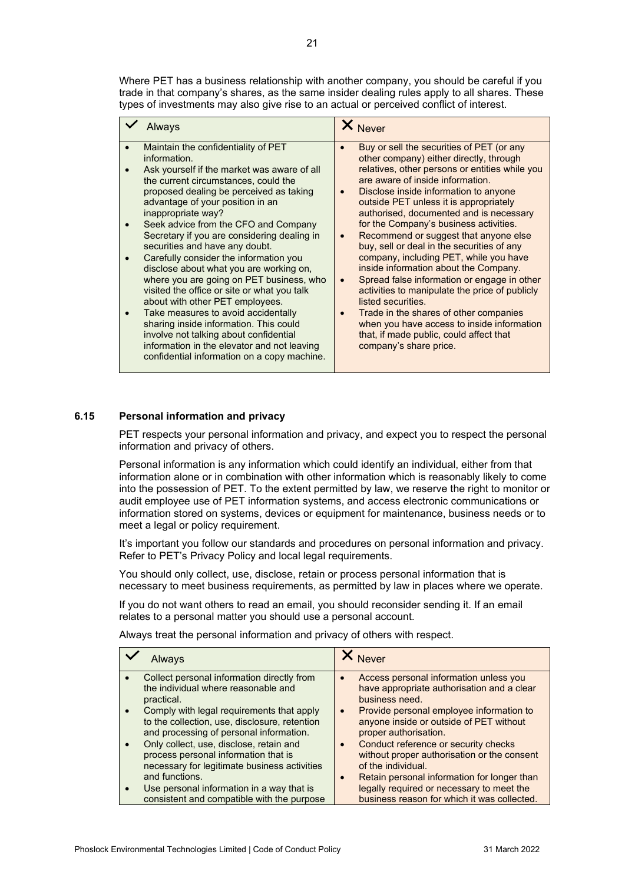| Always                                                                                                                                                                                                                                                                                                                                                                                                                                                                                                                                                                                                                                                                                                                                                                                                               | <b>Never</b>                                                                                                                                                                                                                                                                                                                                                                                                                                                                                                                                                                                                                                                                                                                                                                                                                               |
|----------------------------------------------------------------------------------------------------------------------------------------------------------------------------------------------------------------------------------------------------------------------------------------------------------------------------------------------------------------------------------------------------------------------------------------------------------------------------------------------------------------------------------------------------------------------------------------------------------------------------------------------------------------------------------------------------------------------------------------------------------------------------------------------------------------------|--------------------------------------------------------------------------------------------------------------------------------------------------------------------------------------------------------------------------------------------------------------------------------------------------------------------------------------------------------------------------------------------------------------------------------------------------------------------------------------------------------------------------------------------------------------------------------------------------------------------------------------------------------------------------------------------------------------------------------------------------------------------------------------------------------------------------------------------|
| Maintain the confidentiality of PET<br>information.<br>Ask yourself if the market was aware of all<br>the current circumstances, could the<br>proposed dealing be perceived as taking<br>advantage of your position in an<br>inappropriate way?<br>Seek advice from the CFO and Company<br>Secretary if you are considering dealing in<br>securities and have any doubt.<br>Carefully consider the information you<br>disclose about what you are working on,<br>where you are going on PET business, who<br>visited the office or site or what you talk<br>about with other PET employees.<br>Take measures to avoid accidentally<br>sharing inside information. This could<br>involve not talking about confidential<br>information in the elevator and not leaving<br>confidential information on a copy machine. | Buy or sell the securities of PET (or any<br>other company) either directly, through<br>relatives, other persons or entities while you<br>are aware of inside information.<br>Disclose inside information to anyone<br>$\bullet$<br>outside PET unless it is appropriately<br>authorised, documented and is necessary<br>for the Company's business activities.<br>Recommend or suggest that anyone else<br>$\bullet$<br>buy, sell or deal in the securities of any<br>company, including PET, while you have<br>inside information about the Company.<br>Spread false information or engage in other<br>activities to manipulate the price of publicly<br>listed securities.<br>Trade in the shares of other companies<br>when you have access to inside information<br>that, if made public, could affect that<br>company's share price. |

#### <span id="page-20-0"></span>**6.15 Personal information and privacy**

PET respects your personal information and privacy, and expect you to respect the personal information and privacy of others.

Personal information is any information which could identify an individual, either from that information alone or in combination with other information which is reasonably likely to come into the possession of PET. To the extent permitted by law, we reserve the right to monitor or audit employee use of PET information systems, and access electronic communications or information stored on systems, devices or equipment for maintenance, business needs or to meet a legal or policy requirement.

It's important you follow our standards and procedures on personal information and privacy. Refer to PET's Privacy Policy and local legal requirements.

You should only collect, use, disclose, retain or process personal information that is necessary to meet business requirements, as permitted by law in places where we operate.

If you do not want others to read an email, you should reconsider sending it. If an email relates to a personal matter you should use a personal account.

Always treat the personal information and privacy of others with respect.

| Collect personal information directly from<br>Access personal information unless you<br>the individual where reasonable and<br>business need.<br>practical.<br>Comply with legal requirements that apply<br>$\bullet$<br>anyone inside or outside of PET without<br>to the collection, use, disclosure, retention<br>and processing of personal information.<br>proper authorisation.<br>Conduct reference or security checks<br>Only collect, use, disclose, retain and | Always | X Never                                                                                                                                                                                                                                                                          |
|--------------------------------------------------------------------------------------------------------------------------------------------------------------------------------------------------------------------------------------------------------------------------------------------------------------------------------------------------------------------------------------------------------------------------------------------------------------------------|--------|----------------------------------------------------------------------------------------------------------------------------------------------------------------------------------------------------------------------------------------------------------------------------------|
| process personal information that is<br>of the individual.<br>necessary for legitimate business activities<br>and functions.<br>Use personal information in a way that is<br>consistent and compatible with the purpose                                                                                                                                                                                                                                                  |        | have appropriate authorisation and a clear<br>Provide personal employee information to<br>without proper authorisation or the consent<br>Retain personal information for longer than<br>legally required or necessary to meet the<br>business reason for which it was collected. |